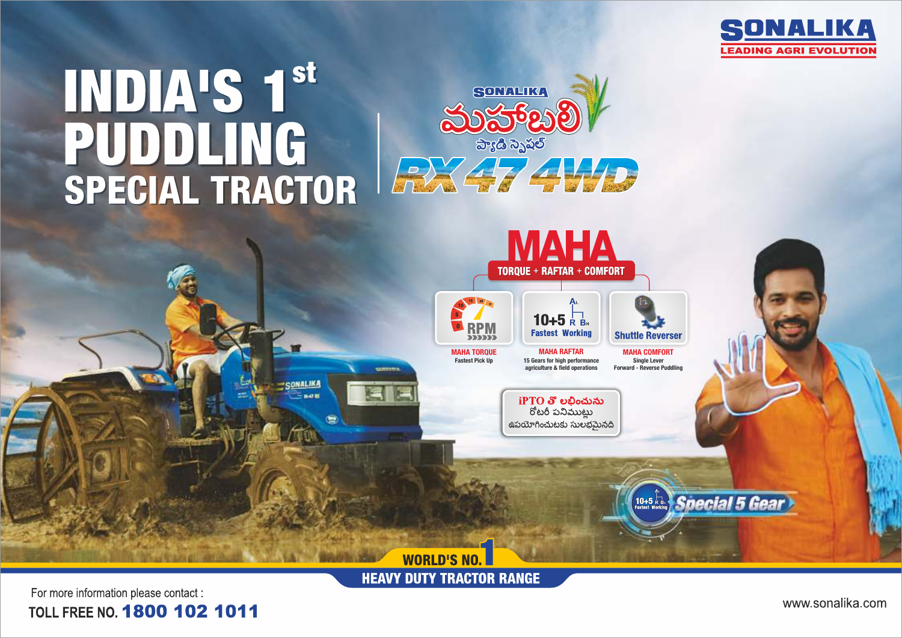

# INDIA'S 1st PUDDLING SPECIAL TRACTOR





**HEAVY DUTY TRACTOR RANGE** 

For more information please contact : TOLL FREE NO. 1800 102 1011

www.sonalika.com